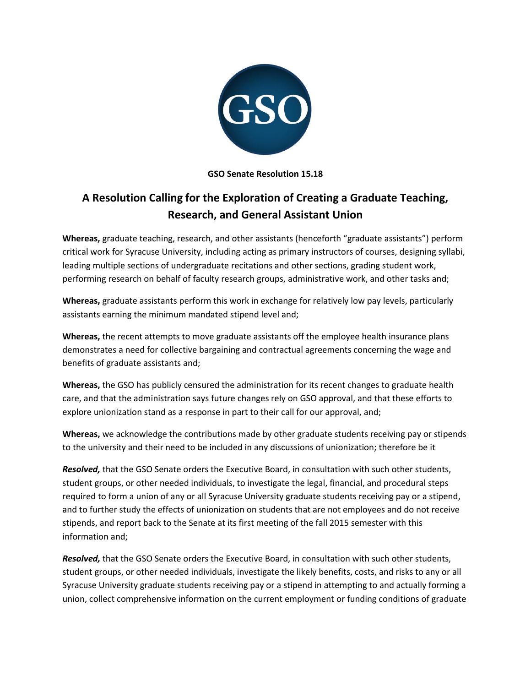

**GSO Senate Resolution 15.18**

## **A Resolution Calling for the Exploration of Creating a Graduate Teaching, Research, and General Assistant Union**

**Whereas,** graduate teaching, research, and other assistants (henceforth "graduate assistants") perform critical work for Syracuse University, including acting as primary instructors of courses, designing syllabi, leading multiple sections of undergraduate recitations and other sections, grading student work, performing research on behalf of faculty research groups, administrative work, and other tasks and;

**Whereas,** graduate assistants perform this work in exchange for relatively low pay levels, particularly assistants earning the minimum mandated stipend level and;

**Whereas,** the recent attempts to move graduate assistants off the employee health insurance plans demonstrates a need for collective bargaining and contractual agreements concerning the wage and benefits of graduate assistants and;

**Whereas,** the GSO has publicly censured the administration for its recent changes to graduate health care, and that the administration says future changes rely on GSO approval, and that these efforts to explore unionization stand as a response in part to their call for our approval, and;

**Whereas,** we acknowledge the contributions made by other graduate students receiving pay or stipends to the university and their need to be included in any discussions of unionization; therefore be it

*Resolved,* that the GSO Senate orders the Executive Board, in consultation with such other students, student groups, or other needed individuals, to investigate the legal, financial, and procedural steps required to form a union of any or all Syracuse University graduate students receiving pay or a stipend, and to further study the effects of unionization on students that are not employees and do not receive stipends, and report back to the Senate at its first meeting of the fall 2015 semester with this information and;

*Resolved,* that the GSO Senate orders the Executive Board, in consultation with such other students, student groups, or other needed individuals, investigate the likely benefits, costs, and risks to any or all Syracuse University graduate students receiving pay or a stipend in attempting to and actually forming a union, collect comprehensive information on the current employment or funding conditions of graduate